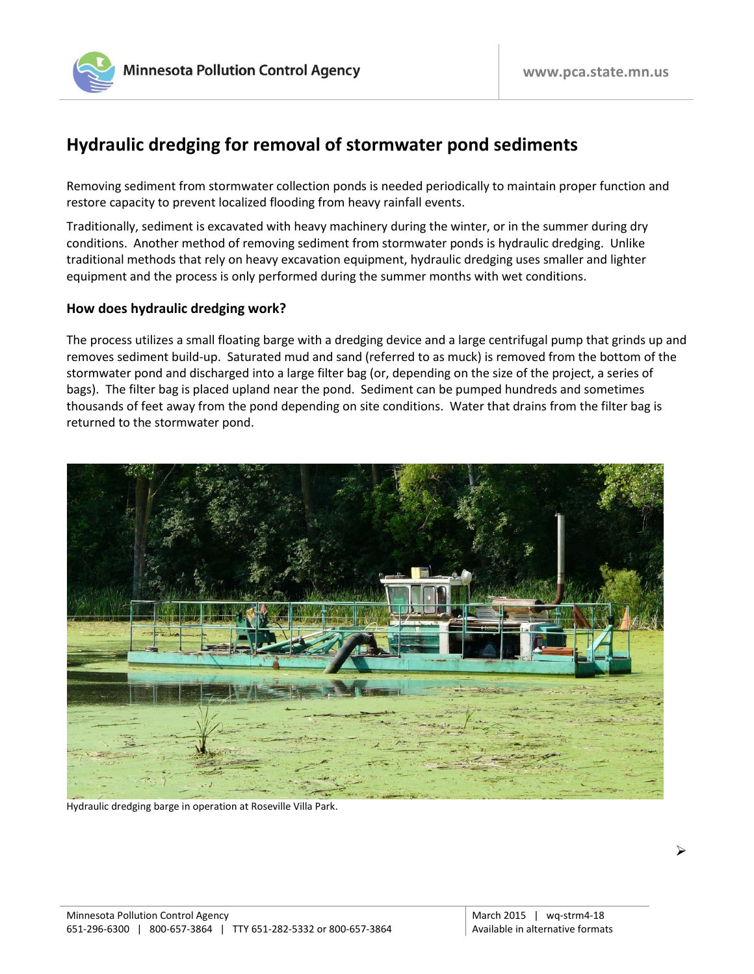

## **Hydraulic dredging for removal of stormwater pond sediments**

Removing sediment from stormwater collection ponds is needed periodically to maintain proper function and restore capacity to prevent localized flooding from heavy rainfall events.

Traditionally, sediment is excavated with heavy machinery during the winter, or in the summer during dry conditions. Another method of removing sediment from stormwater ponds is hydraulic dredging. Unlike traditional methods that rely on heavy excavation equipment, hydraulic dredging uses smaller and lighter equipment and the process is only performed during the summer months with wet conditions.

## **How does hydraulic dredging work?**

The process utilizes a small floating barge with a dredging device and a large centrifugal pump that grinds up and removes sediment build-up. Saturated mud and sand (referred to as muck) is removed from the bottom of the stormwater pond and discharged into a large filter bag (or, depending on the size of the project, a series of bags). The filter bag is placed upland near the pond. Sediment can be pumped hundreds and sometimes thousands of feet away from the pond depending on site conditions. Water that drains from the filter bag is returned to the stormwater pond.



Hydraulic dredging barge in operation at Roseville Villa Park.